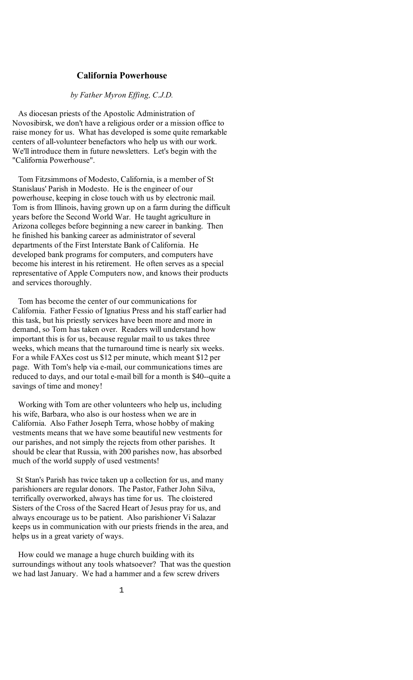## **California Powerhouse**

#### *by Father Myron Effing, C.J.D.*

 As diocesan priests of the Apostolic Administration of Novosibirsk, we don't have a religious order or a mission office to raise money for us. What has developed is some quite remarkable centers of all-volunteer benefactors who help us with our work. We'll introduce them in future newsletters. Let's begin with the "California Powerhouse".

 Tom Fitzsimmons of Modesto, California, is a member of St Stanislaus' Parish in Modesto. He is the engineer of our powerhouse, keeping in close touch with us by electronic mail. Tom is from Illinois, having grown up on a farm during the difficult years before the Second World War. He taught agriculture in Arizona colleges before beginning a new career in banking. Then he finished his banking career as administrator of several departments of the First Interstate Bank of California. He developed bank programs for computers, and computers have become his interest in his retirement. He often serves as a special representative of Apple Computers now, and knows their products and services thoroughly.

 Tom has become the center of our communications for California. Father Fessio of Ignatius Press and his staff earlier had this task, but his priestly services have been more and more in demand, so Tom has taken over. Readers will understand how important this is for us, because regular mail to us takes three weeks, which means that the turnaround time is nearly six weeks. For a while FAXes cost us \$12 per minute, which meant \$12 per page. With Tom's help via e-mail, our communications times are reduced to days, and our total e-mail bill for a month is \$40--quite a savings of time and money!

 Working with Tom are other volunteers who help us, including his wife, Barbara, who also is our hostess when we are in California. Also Father Joseph Terra, whose hobby of making vestments means that we have some beautiful new vestments for our parishes, and not simply the rejects from other parishes. It should be clear that Russia, with 200 parishes now, has absorbed much of the world supply of used vestments!

 St Stan's Parish has twice taken up a collection for us, and many parishioners are regular donors. The Pastor, Father John Silva, terrifically overworked, always has time for us. The cloistered Sisters of the Cross of the Sacred Heart of Jesus pray for us, and always encourage us to be patient. Also parishioner Vi Salazar keeps us in communication with our priests friends in the area, and helps us in a great variety of ways.

 How could we manage a huge church building with its surroundings without any tools whatsoever? That was the question we had last January. We had a hammer and a few screw drivers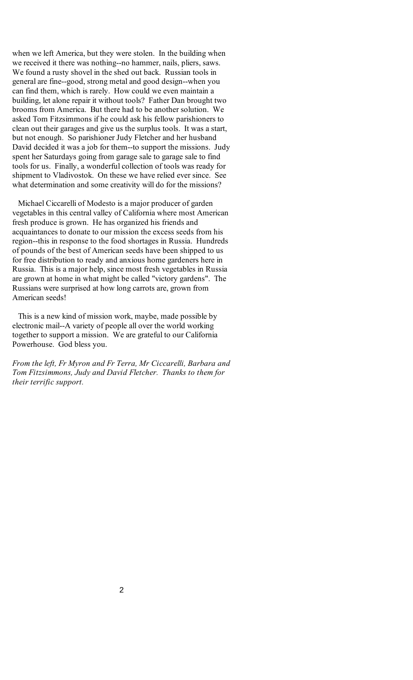when we left America, but they were stolen. In the building when we received it there was nothing--no hammer, nails, pliers, saws. We found a rusty shovel in the shed out back. Russian tools in general are fine--good, strong metal and good design--when you can find them, which is rarely. How could we even maintain a building, let alone repair it without tools? Father Dan brought two brooms from America. But there had to be another solution. We asked Tom Fitzsimmons if he could ask his fellow parishioners to clean out their garages and give us the surplus tools. It was a start, but not enough. So parishioner Judy Fletcher and her husband David decided it was a job for them--to support the missions. Judy spent her Saturdays going from garage sale to garage sale to find tools for us. Finally, a wonderful collection of tools was ready for shipment to Vladivostok. On these we have relied ever since. See what determination and some creativity will do for the missions?

 Michael Ciccarelli of Modesto is a major producer of garden vegetables in this central valley of California where most American fresh produce is grown. He has organized his friends and acquaintances to donate to our mission the excess seeds from his region--this in response to the food shortages in Russia. Hundreds of pounds of the best of American seeds have been shipped to us for free distribution to ready and anxious home gardeners here in Russia. This is a major help, since most fresh vegetables in Russia are grown at home in what might be called "victory gardens". The Russians were surprised at how long carrots are, grown from American seeds!

 This is a new kind of mission work, maybe, made possible by electronic mail--A variety of people all over the world working together to support a mission. We are grateful to our California Powerhouse. God bless you.

*From the left, Fr Myron and Fr Terra, Mr Ciccarelli, Barbara and Tom Fitzsimmons, Judy and David Fletcher. Thanks to them for their terrific support.*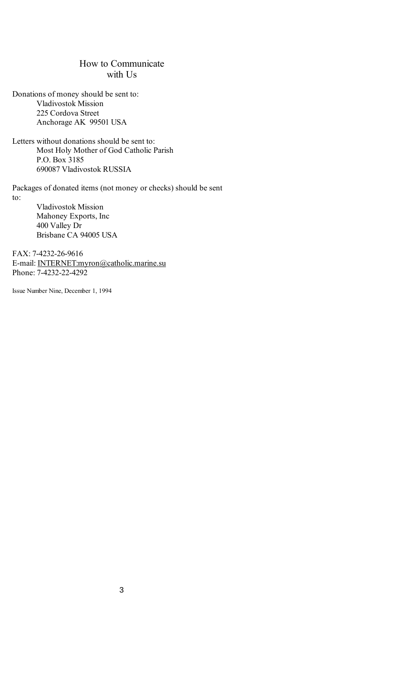# How to Communicate with Us

Donations of money should be sent to: Vladivostok Mission 225 Cordova Street Anchorage AK 99501 USA

Letters without donations should be sent to: Most Holy Mother of God Catholic Parish P.O. Box 3185 690087 Vladivostok RUSSIA

Packages of donated items (not money or checks) should be sent to:

> Vladivostok Mission Mahoney Exports, Inc 400 Valley Dr Brisbane CA 94005 USA

FAX: 7-4232-26-9616 E-mail: [INTERNET:myron@catholic.marine.su](mailto:INTERNET:myron@catholic.marine.su) Phone: 7-4232-22-4292

Issue Number Nine, December 1, 1994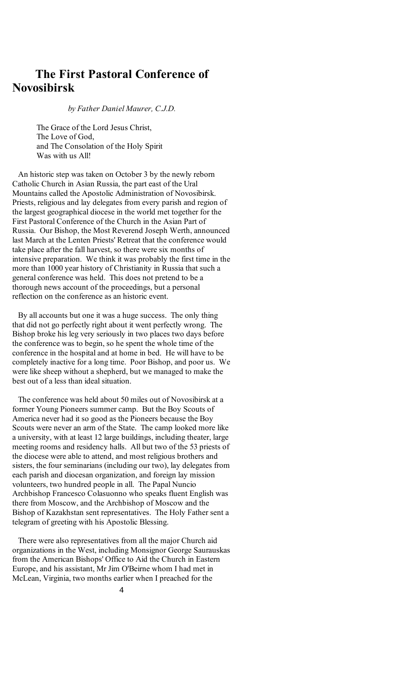# **The First Pastoral Conference of Novosibirsk**

*by Father Daniel Maurer, C.J.D.*

The Grace of the Lord Jesus Christ, The Love of God, and The Consolation of the Holy Spirit Was with us All!

 An historic step was taken on October 3 by the newly reborn Catholic Church in Asian Russia, the part east of the Ural Mountains called the Apostolic Administration of Novosibirsk. Priests, religious and lay delegates from every parish and region of the largest geographical diocese in the world met together for the First Pastoral Conference of the Church in the Asian Part of Russia. Our Bishop, the Most Reverend Joseph Werth, announced last March at the Lenten Priests' Retreat that the conference would take place after the fall harvest, so there were six months of intensive preparation. We think it was probably the first time in the more than 1000 year history of Christianity in Russia that such a general conference was held. This does not pretend to be a thorough news account of the proceedings, but a personal reflection on the conference as an historic event.

 By all accounts but one it was a huge success. The only thing that did not go perfectly right about it went perfectly wrong. The Bishop broke his leg very seriously in two places two days before the conference was to begin, so he spent the whole time of the conference in the hospital and at home in bed. He will have to be completely inactive for a long time. Poor Bishop, and poor us. We were like sheep without a shepherd, but we managed to make the best out of a less than ideal situation.

 The conference was held about 50 miles out of Novosibirsk at a former Young Pioneers summer camp. But the Boy Scouts of America never had it so good as the Pioneers because the Boy Scouts were never an arm of the State. The camp looked more like a university, with at least 12 large buildings, including theater, large meeting rooms and residency halls. All but two of the 53 priests of the diocese were able to attend, and most religious brothers and sisters, the four seminarians (including our two), lay delegates from each parish and diocesan organization, and foreign lay mission volunteers, two hundred people in all. The Papal Nuncio Archbishop Francesco Colasuonno who speaks fluent English was there from Moscow, and the Archbishop of Moscow and the Bishop of Kazakhstan sent representatives. The Holy Father sent a telegram of greeting with his Apostolic Blessing.

 There were also representatives from all the major Church aid organizations in the West, including Monsignor George Saurauskas from the American Bishops' Office to Aid the Church in Eastern Europe, and his assistant, Mr Jim O'Beirne whom I had met in McLean, Virginia, two months earlier when I preached for the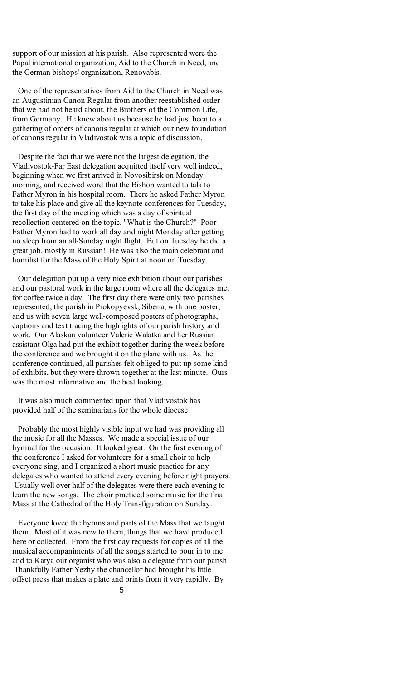support of our mission at his parish. Also represented were the Papal international organization, Aid to the Church in Need, and the German bishops' organization, Renovabis.

 One of the representatives from Aid to the Church in Need was an Augustinian Canon Regular from another reestablished order that we had not heard about, the Brothers of the Common Life, from Germany. He knew about us because he had just been to a gathering of orders of canons regular at which our new foundation of canons regular in Vladivostok was a topic of discussion.

 Despite the fact that we were not the largest delegation, the Vladivostok-Far East delegation acquitted itself very well indeed, beginning when we first arrived in Novosibirsk on Monday morning, and received word that the Bishop wanted to talk to Father Myron in his hospital room. There he asked Father Myron to take his place and give all the keynote conferences for Tuesday, the first day of the meeting which was a day of spiritual recollection centered on the topic, "What is the Church?" Poor Father Myron had to work all day and night Monday after getting no sleep from an all-Sunday night flight. But on Tuesday he did a great job, mostly in Russian! He was also the main celebrant and homilist for the Mass of the Holy Spirit at noon on Tuesday.

 Our delegation put up a very nice exhibition about our parishes and our pastoral work in the large room where all the delegates met for coffee twice a day. The first day there were only two parishes represented, the parish in Prokopyevsk, Siberia, with one poster, and us with seven large well-composed posters of photographs, captions and text tracing the highlights of our parish history and work. Our Alaskan volunteer Valerie Walatka and her Russian assistant Olga had put the exhibit together during the week before the conference and we brought it on the plane with us. As the conference continued, all parishes felt obliged to put up some kind of exhibits, but they were thrown together at the last minute. Ours was the most informative and the best looking.

 It was also much commented upon that Vladivostok has provided half of the seminarians for the whole diocese!

 Probably the most highly visible input we had was providing all the music for all the Masses. We made a special issue of our hymnal for the occasion. It looked great. On the first evening of the conference I asked for volunteers for a small choir to help everyone sing, and I organized a short music practice for any delegates who wanted to attend every evening before night prayers. Usually well over half of the delegates were there each evening to learn the new songs. The choir practiced some music for the final Mass at the Cathedral of the Holy Transfiguration on Sunday.

 Everyone loved the hymns and parts of the Mass that we taught them. Most of it was new to them, things that we have produced here or collected. From the first day requests for copies of all the musical accompaniments of all the songs started to pour in to me and to Katya our organist who was also a delegate from our parish. Thankfully Father Yezhy the chancellor had brought his little offset press that makes a plate and prints from it very rapidly. By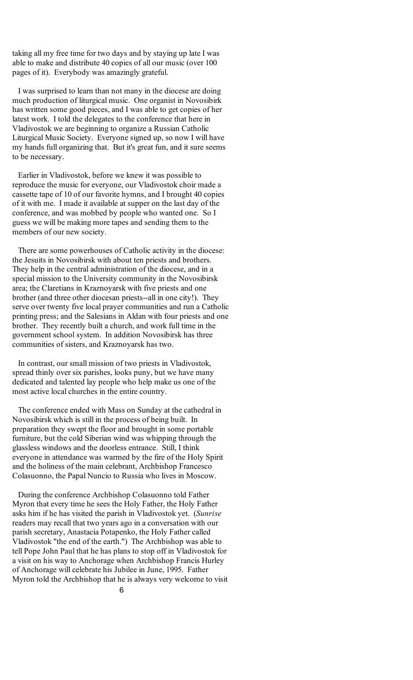taking all my free time for two days and by staying up late I was able to make and distribute 40 copies of all our music (over 100 pages of it). Everybody was amazingly grateful.

 I was surprised to learn than not many in the diocese are doing much production of liturgical music. One organist in Novosibirk has written some good pieces, and I was able to get copies of her latest work. I told the delegates to the conference that here in Vladivostok we are beginning to organize a Russian Catholic Liturgical Music Society. Everyone signed up, so now I will have my hands full organizing that. But it's great fun, and it sure seems to be necessary.

 Earlier in Vladivostok, before we knew it was possible to reproduce the music for everyone, our Vladivostok choir made a cassette tape of 10 of our favorite hymns, and I brought 40 copies of it with me. I made it available at supper on the last day of the conference, and was mobbed by people who wanted one. So I guess we will be making more tapes and sending them to the members of our new society.

 There are some powerhouses of Catholic activity in the diocese: the Jesuits in Novosibirsk with about ten priests and brothers. They help in the central administration of the diocese, and in a special mission to the University community in the Novosibirsk area; the Claretians in Kraznoyarsk with five priests and one brother (and three other diocesan priests--all in one city!). They serve over twenty five local prayer communities and run a Catholic printing press; and the Salesians in Aldan with four priests and one brother. They recently built a church, and work full time in the government school system. In addition Novosibirsk has three communities of sisters, and Kraznoyarsk has two.

 In contrast, our small mission of two priests in Vladivostok, spread thinly over six parishes, looks puny, but we have many dedicated and talented lay people who help make us one of the most active local churches in the entire country.

 The conference ended with Mass on Sunday at the cathedral in Novosibirsk which is still in the process of being built. In preparation they swept the floor and brought in some portable furniture, but the cold Siberian wind was whipping through the glassless windows and the doorless entrance. Still, I think everyone in attendance was warmed by the fire of the Holy Spirit and the holiness of the main celebrant, Archbishop Francesco Colasuonno, the Papal Nuncio to Russia who lives in Moscow.

 During the conference Archbishop Colasuonno told Father Myron that every time he sees the Holy Father, the Holy Father asks him if he has visited the parish in Vladivostok yet. (*Sunrise* readers may recall that two years ago in a conversation with our parish secretary, Anastacia Potapenko, the Holy Father called Vladivostok "the end of the earth.") The Archbishop was able to tell Pope John Paul that he has plans to stop off in Vladivostok for a visit on his way to Anchorage when Archbishop Francis Hurley of Anchorage will celebrate his Jubilee in June, 1995. Father Myron told the Archbishop that he is always very welcome to visit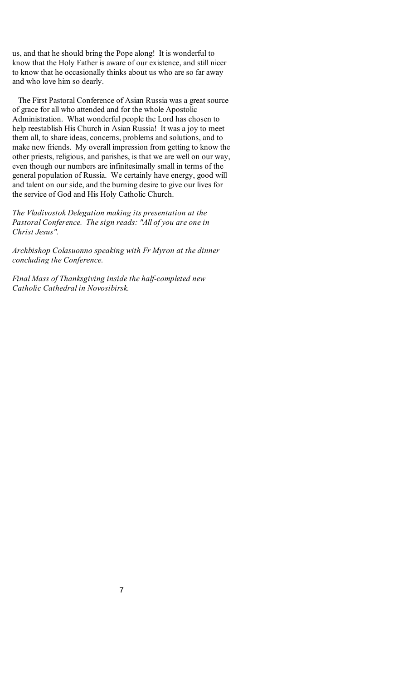us, and that he should bring the Pope along! It is wonderful to know that the Holy Father is aware of our existence, and still nicer to know that he occasionally thinks about us who are so far away and who love him so dearly.

 The First Pastoral Conference of Asian Russia was a great source of grace for all who attended and for the whole Apostolic Administration. What wonderful people the Lord has chosen to help reestablish His Church in Asian Russia! It was a joy to meet them all, to share ideas, concerns, problems and solutions, and to make new friends. My overall impression from getting to know the other priests, religious, and parishes, is that we are well on our way, even though our numbers are infinitesimally small in terms of the general population of Russia. We certainly have energy, good will and talent on our side, and the burning desire to give our lives for the service of God and His Holy Catholic Church.

*The Vladivostok Delegation making its presentation at the Pastoral Conference. The sign reads: "All of you are one in Christ Jesus".* 

*Archbishop Colasuonno speaking with Fr Myron at the dinner concluding the Conference.* 

*Final Mass of Thanksgiving inside the half-completed new Catholic Cathedral in Novosibirsk.*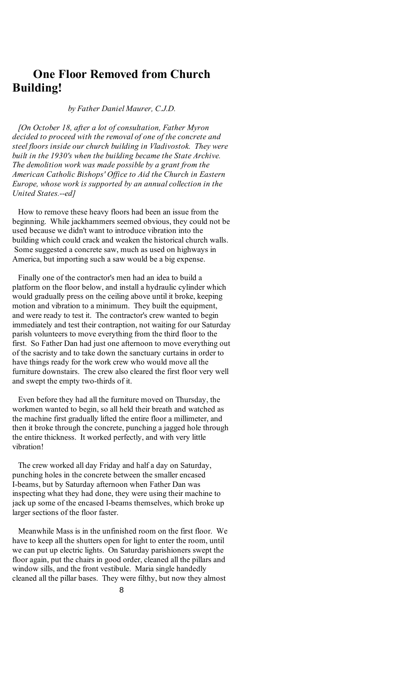# **One Floor Removed from Church Building!**

#### *by Father Daniel Maurer, C.J.D.*

 *[On October 18, after a lot of consultation, Father Myron decided to proceed with the removal of one of the concrete and steel floors inside our church building in Vladivostok. They were built in the 1930's when the building became the State Archive. The demolition work was made possible by a grant from the American Catholic Bishops' Office to Aid the Church in Eastern Europe, whose work is supported by an annual collection in the United States.--ed]* 

 How to remove these heavy floors had been an issue from the beginning. While jackhammers seemed obvious, they could not be used because we didn't want to introduce vibration into the building which could crack and weaken the historical church walls. Some suggested a concrete saw, much as used on highways in America, but importing such a saw would be a big expense.

 Finally one of the contractor's men had an idea to build a platform on the floor below, and install a hydraulic cylinder which would gradually press on the ceiling above until it broke, keeping motion and vibration to a minimum. They built the equipment, and were ready to test it. The contractor's crew wanted to begin immediately and test their contraption, not waiting for our Saturday parish volunteers to move everything from the third floor to the first. So Father Dan had just one afternoon to move everything out of the sacristy and to take down the sanctuary curtains in order to have things ready for the work crew who would move all the furniture downstairs. The crew also cleared the first floor very well and swept the empty two-thirds of it.

 Even before they had all the furniture moved on Thursday, the workmen wanted to begin, so all held their breath and watched as the machine first gradually lifted the entire floor a millimeter, and then it broke through the concrete, punching a jagged hole through the entire thickness. It worked perfectly, and with very little vibration!

 The crew worked all day Friday and half a day on Saturday, punching holes in the concrete between the smaller encased I-beams, but by Saturday afternoon when Father Dan was inspecting what they had done, they were using their machine to jack up some of the encased I-beams themselves, which broke up larger sections of the floor faster.

 Meanwhile Mass is in the unfinished room on the first floor. We have to keep all the shutters open for light to enter the room, until we can put up electric lights. On Saturday parishioners swept the floor again, put the chairs in good order, cleaned all the pillars and window sills, and the front vestibule. Maria single handedly cleaned all the pillar bases. They were filthy, but now they almost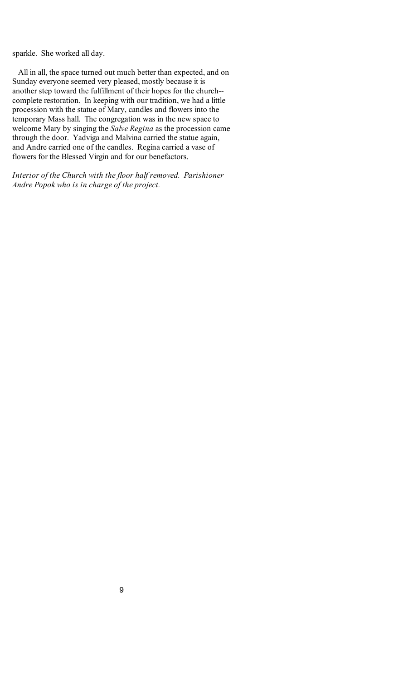sparkle. She worked all day.

 All in all, the space turned out much better than expected, and on Sunday everyone seemed very pleased, mostly because it is another step toward the fulfillment of their hopes for the church- complete restoration. In keeping with our tradition, we had a little procession with the statue of Mary, candles and flowers into the temporary Mass hall. The congregation was in the new space to welcome Mary by singing the *Salve Regina* as the procession came through the door. Yadviga and Malvina carried the statue again, and Andre carried one of the candles. Regina carried a vase of flowers for the Blessed Virgin and for our benefactors.

*Interior of the Church with the floor half removed. Parishioner Andre Popok who is in charge of the project.*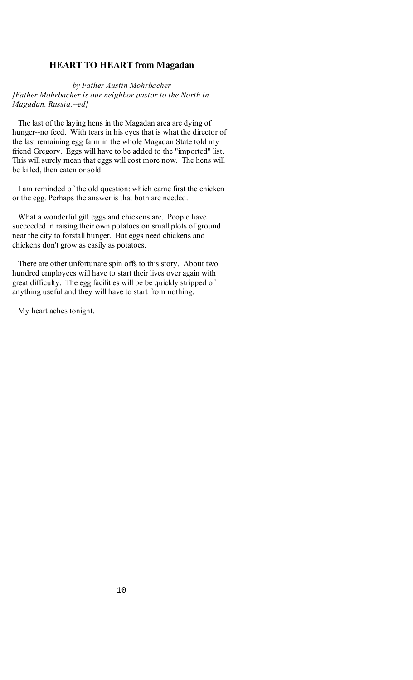## **HEART TO HEART from Magadan**

*by Father Austin Mohrbacher [Father Mohrbacher is our neighbor pastor to the North in Magadan, Russia.--ed]*

 The last of the laying hens in the Magadan area are dying of hunger--no feed. With tears in his eyes that is what the director of the last remaining egg farm in the whole Magadan State told my friend Gregory. Eggs will have to be added to the "imported" list. This will surely mean that eggs will cost more now. The hens will be killed, then eaten or sold.

 I am reminded of the old question: which came first the chicken or the egg. Perhaps the answer is that both are needed.

 What a wonderful gift eggs and chickens are. People have succeeded in raising their own potatoes on small plots of ground near the city to forstall hunger. But eggs need chickens and chickens don't grow as easily as potatoes.

 There are other unfortunate spin offs to this story. About two hundred employees will have to start their lives over again with great difficulty. The egg facilities will be be quickly stripped of anything useful and they will have to start from nothing.

My heart aches tonight.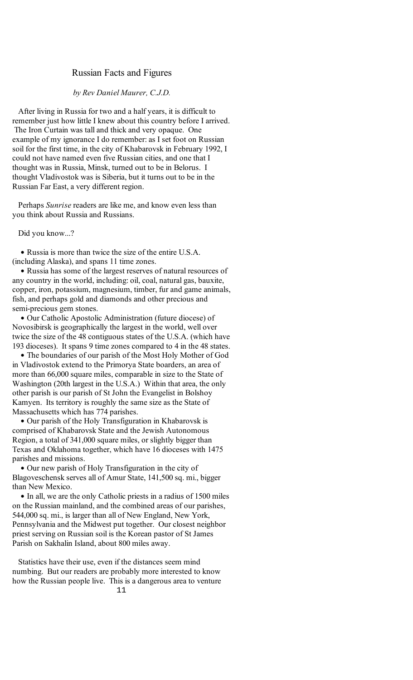## Russian Facts and Figures

#### *by Rev Daniel Maurer, C.J.D.*

 After living in Russia for two and a half years, it is difficult to remember just how little I knew about this country before I arrived. The Iron Curtain was tall and thick and very opaque. One example of my ignorance I do remember: as I set foot on Russian soil for the first time, in the city of Khabarovsk in February 1992, I could not have named even five Russian cities, and one that I thought was in Russia, Minsk, turned out to be in Belorus. I thought Vladivostok was is Siberia, but it turns out to be in the Russian Far East, a very different region.

 Perhaps *Sunrise* readers are like me, and know even less than you think about Russia and Russians.

Did you know...?

• Russia is more than twice the size of the entire U.S.A. (including Alaska), and spans 11 time zones.

• Russia has some of the largest reserves of natural resources of any country in the world, including: oil, coal, natural gas, bauxite, copper, iron, potassium, magnesium, timber, fur and game animals, fish, and perhaps gold and diamonds and other precious and semi-precious gem stones.

· Our Catholic Apostolic Administration (future diocese) of Novosibirsk is geographically the largest in the world, well over twice the size of the 48 contiguous states of the U.S.A. (which have 193 dioceses). It spans 9 time zones compared to 4 in the 48 states.

• The boundaries of our parish of the Most Holy Mother of God in Vladivostok extend to the Primorya State boarders, an area of more than 66,000 square miles, comparable in size to the State of Washington (20th largest in the U.S.A.) Within that area, the only other parish is our parish of St John the Evangelist in Bolshoy Kamyen. Its territory is roughly the same size as the State of Massachusetts which has 774 parishes.

• Our parish of the Holy Transfiguration in Khabarovsk is comprised of Khabarovsk State and the Jewish Autonomous Region, a total of 341,000 square miles, or slightly bigger than Texas and Oklahoma together, which have 16 dioceses with 1475 parishes and missions.

 \$ Our new parish of Holy Transfiguration in the city of Blagoveschensk serves all of Amur State, 141,500 sq. mi., bigger than New Mexico.

• In all, we are the only Catholic priests in a radius of 1500 miles on the Russian mainland, and the combined areas of our parishes, 544,000 sq. mi., is larger than all of New England, New York, Pennsylvania and the Midwest put together. Our closest neighbor priest serving on Russian soil is the Korean pastor of St James Parish on Sakhalin Island, about 800 miles away.

11 Statistics have their use, even if the distances seem mind numbing. But our readers are probably more interested to know how the Russian people live. This is a dangerous area to venture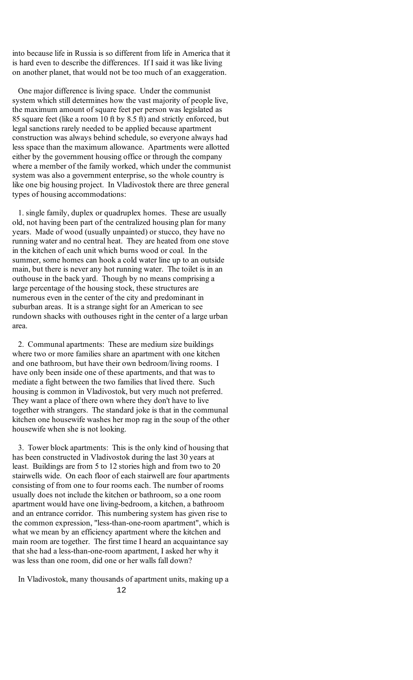into because life in Russia is so different from life in America that it is hard even to describe the differences. If I said it was like living on another planet, that would not be too much of an exaggeration.

 One major difference is living space. Under the communist system which still determines how the vast majority of people live, the maximum amount of square feet per person was legislated as 85 square feet (like a room 10 ft by 8.5 ft) and strictly enforced, but legal sanctions rarely needed to be applied because apartment construction was always behind schedule, so everyone always had less space than the maximum allowance. Apartments were allotted either by the government housing office or through the company where a member of the family worked, which under the communist system was also a government enterprise, so the whole country is like one big housing project. In Vladivostok there are three general types of housing accommodations:

 1. single family, duplex or quadruplex homes. These are usually old, not having been part of the centralized housing plan for many years. Made of wood (usually unpainted) or stucco, they have no running water and no central heat. They are heated from one stove in the kitchen of each unit which burns wood or coal. In the summer, some homes can hook a cold water line up to an outside main, but there is never any hot running water. The toilet is in an outhouse in the back yard. Though by no means comprising a large percentage of the housing stock, these structures are numerous even in the center of the city and predominant in suburban areas. It is a strange sight for an American to see rundown shacks with outhouses right in the center of a large urban area.

 2. Communal apartments: These are medium size buildings where two or more families share an apartment with one kitchen and one bathroom, but have their own bedroom/living rooms. I have only been inside one of these apartments, and that was to mediate a fight between the two families that lived there. Such housing is common in Vladivostok, but very much not preferred. They want a place of there own where they don't have to live together with strangers. The standard joke is that in the communal kitchen one housewife washes her mop rag in the soup of the other housewife when she is not looking.

 3. Tower block apartments: This is the only kind of housing that has been constructed in Vladivostok during the last 30 years at least. Buildings are from 5 to 12 stories high and from two to 20 stairwells wide. On each floor of each stairwell are four apartments consisting of from one to four rooms each. The number of rooms usually does not include the kitchen or bathroom, so a one room apartment would have one living-bedroom, a kitchen, a bathroom and an entrance corridor. This numbering system has given rise to the common expression, "less-than-one-room apartment", which is what we mean by an efficiency apartment where the kitchen and main room are together. The first time I heard an acquaintance say that she had a less-than-one-room apartment, I asked her why it was less than one room, did one or her walls fall down?

In Vladivostok, many thousands of apartment units, making up a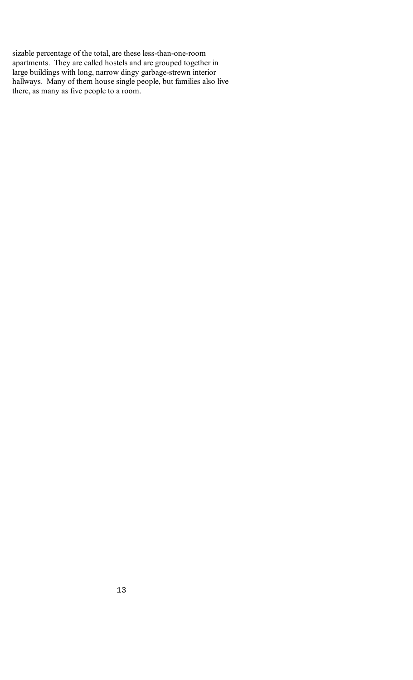sizable percentage of the total, are these less-than-one-room apartments. They are called hostels and are grouped together in large buildings with long, narrow dingy garbage-strewn interior hallways. Many of them house single people, but families also live there, as many as five people to a room.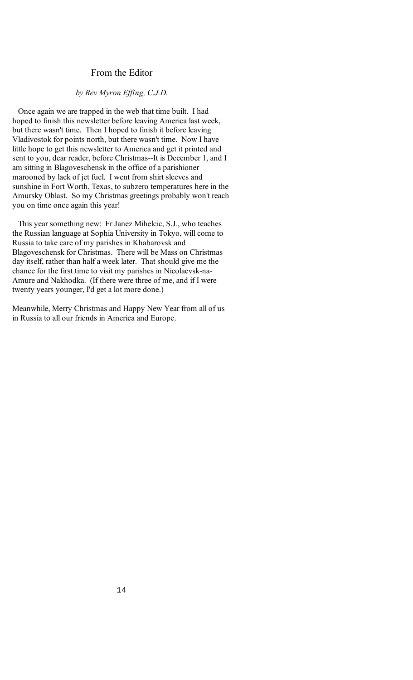# From the Editor

## *by Rev Myron Effing, C.J.D.*

 Once again we are trapped in the web that time built. I had hoped to finish this newsletter before leaving America last week, but there wasn't time. Then I hoped to finish it before leaving Vladivostok for points north, but there wasn't time. Now I have little hope to get this newsletter to America and get it printed and sent to you, dear reader, before Christmas--It is December 1, and I am sitting in Blagoveschensk in the office of a parishioner marooned by lack of jet fuel. I went from shirt sleeves and sunshine in Fort Worth, Texas, to subzero temperatures here in the Amursky Oblast. So my Christmas greetings probably won't reach you on time once again this year!

 This year something new: Fr Janez Mihelcic, S.J., who teaches the Russian language at Sophia University in Tokyo, will come to Russia to take care of my parishes in Khabarovsk and Blagoveschensk for Christmas. There will be Mass on Christmas day itself, rather than half a week later. That should give me the chance for the first time to visit my parishes in Nicolaevsk-na-Amure and Nakhodka. (If there were three of me, and if I were twenty years younger, I'd get a lot more done.)

Meanwhile, Merry Christmas and Happy New Year from all of us in Russia to all our friends in America and Europe.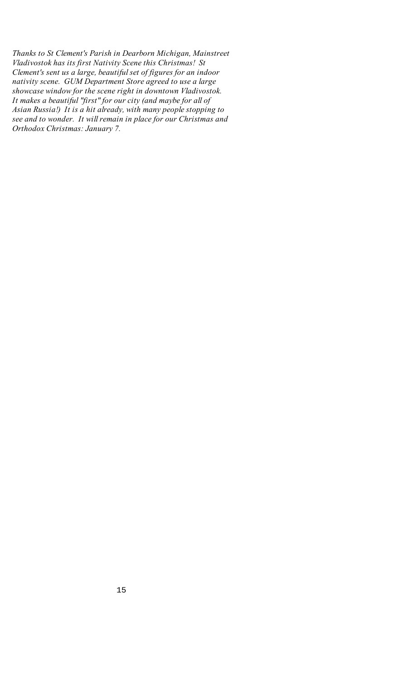*Thanks to St Clement's Parish in Dearborn Michigan, Mainstreet Vladivostok has its first Nativity Scene this Christmas! St Clement's sent us a large, beautiful set of figures for an indoor nativity scene. GUM Department Store agreed to use a large showcase window for the scene right in downtown Vladivostok. It makes a beautiful "first" for our city (and maybe for all of Asian Russia!) It is a hit already, with many people stopping to see and to wonder. It will remain in place for our Christmas and Orthodox Christmas: January 7.*